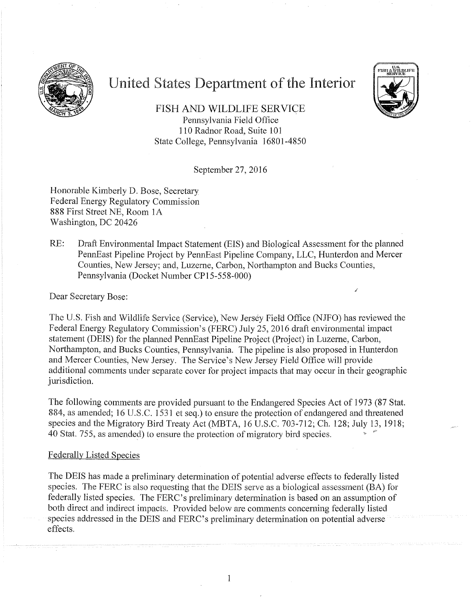

# United States Department of the Interior



FISH AND WILDLIFE SERVICE Pennsylvania Field Office 1 10 Radnor Road, Suite 10] State College, Pennsylvania 16801-4850

September 27, 2016

Honorable Kimberly D. Bose, Secretary Federal Energy Regulatory Commission 888 First Street NE, Room l A Washington, DC 20426

RE: Draft Environmental Impact Statement (EIS) and Biological Assessment for the planned PennEast Pipeline Project by PennEast Pipeline Company, LLC, Hunterdon and Mercer Counties, New Jersey; and, Luzerne, Carbon, Northampton and Bucks Counties, Pennsylvania (Docket Number CP15-558-000)

Dear Secretary Bose:

The U.S. Fish and Wildlife Service (Service), New Jersey Fieltl Office (NJFO) has reviewed the Federal Energy Regulatory Commission's (FERC) July 25, 2016 draft environmental impact statement (DEIS) for the planned PennEast Pipeline Project (Project) in Luzerne, Carbon, Northampton, and Bucks Counties, Pennsylvania. The pipeline is also proposed in Hunterdon and Mercer Counties, New Jersey. The Service's New Jersey Field Office will provide additional comments under separate cover for project impacts that may occur in their geographic jurisdiction.

The following comments are provided pursuant to the Endangered Species Act of 1973 (87 Stat. 884, as amended; 16 U.S.C. 1531 et seq.) to ensure the protection of endangered and threatened species and the Migratory Bird Treaty Act (MBTA, 16 U.S.C. 703-712; Ch. 128; July 13, 1918; 40 Stat. 755, as amended) to ensure the protection of migratory bird species.

#### Federally Listed Species

The DEIS has made a preliminary determination of potential adverse effects to federally listed species. The FERC is also requesting that the DEIS serve as a biological assessment (BA) for federally listed species. The FERC's preliminary determination is based on an assumption of both direct and indirect impacts. Provided below are comments concerning federally listed species addressed in the DEIS and FERC's preliminary determination on potential adverse effects.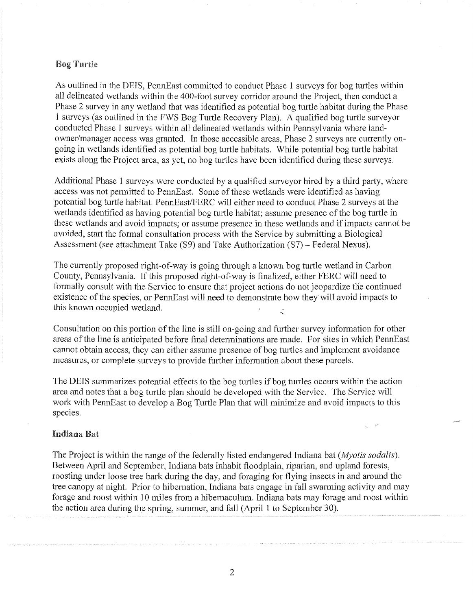#### Bog Turtle

As outlined in the DEIS, PennEast committed to conduct Phase 1 surveys for bog turtles within all delineated wetlands within the 400-foot survey corridor around the Project, then conduct a Phase 2 survey in any wetland that was identified as potential bog turtle habitat during the Phase I surveys (as outlined in the FWS Bog Turtle Recovery Plan). A qualified bog turtle surveyor conducted Phase 1 surveys within all delineated wetlands within Pennsylvania where landowner/manager access was granted. In those accessible areas, Phase 2 surveys are currently ongoing in wetlands identified as potential bog turtle habitats. While potential bog turtle habitat exists along the Project area, as yet, no bog turtles have been identified during these surveys.

Additional Phase 1 surveys were conducted by a qualified surveyor hired by a third party, where access was not permitted to PennEast. Some of these wetlands were identified as having potential bog turtle habitat. PennEast/FERC will either need to conduct Phase 2 surveys at the wetlands identified as having potential bog turtle habitat; assume presence of the bog turtle in these wetlands and avoid impacts; or assume presence in these wetlands and if impacts cannot be avoided, start the formal consultation process with the Service by submitting a Biological Assessment (see attachment Take (S9) and Take Authorization (S7) - Federal Nexus).

The currently proposed right-of-way is going through a known bog turtle wetland in Carbon County, Pennsylvania. If this proposed right-of-way is finalized, either FERC will need to formally consult with the Service to ensure that project actions do not jeopardize the continued existence of the species, or PennEast will need to demonstrate how they will avoid impacts to this known occupied wetland.  $\mathbb{R}^2$ 

Consultation on this portion of the line is still on-going and further survey information for other areas of the line is anticipated before final determinations are made. For sites in which PennEast cannot obtain access, they can either assume presence of bog turtles and implement avoidance measures, or complete surveys to provide further information about these parcels.

The DEIS summarizes potential effects to the bog turtles if bog turtles occurs within the action area and notes that a bog turtle plan should be developed with the Service. The Service will work with PennEast to develop a Bog Turtle Plan that will minimize and avoid impacts to this species.

#### Indiana Bat

The Project is within the range of the federally listed endangered Indiana bat *(Myotis sodalis).*  Between April and September, Indiana bats inhabit floodplain, riparian, and upland forests, roosting under loose tree bark during the day, and foraging for flying insects in and around the tree canopy at night. Prior to hibernation, Indiana bats engage in fall swarming activity and may forage and roost within 10 miles from a hibernaculum. Indiana bats may forage and roost within the action area during the spring, summer, and fall (April I to September 30).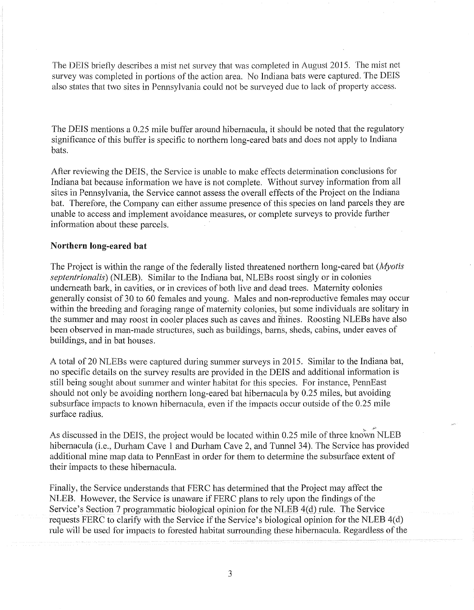The DEIS briefly describes a mist net survey that was completed in August 2015. The mist net survey was completed in portions of the action area. No Indiana bats were captured. The DEIS also states that two sites in Pennsylvania could not be surveyed due to lack of property access.

The DEIS mentions a 0.25 mile buffer around hibemacula, it should be noted that the regulatory significance of this buffer is specific to northern long-eared bats and does not apply to Indiana bats.

After reviewing the DEIS, the Service is unable to make effects determination conclusions for Indiana bat because information we have is not complete. Without survey information from all sites in Pennsylvania, the Service cannot assess the overall effects of the Project on the Indiana bat. Therefore, the Company can either assume presence of this species on land parcels they are unable to access and implement avoidance measures, or complete surveys to provide further information about these parcels.

## **Northern long-eared bat**

The Project is within the range of the federally listed threatened northern long-eared bat *(Myotis septentrionalis)* (NLEB). Similar to the Indiana bat, NLEBs roost singly or in colonies underneath bark, in cavities, or in crevices of both live and dead trees. Maternity oolonies generally consist of 30 to 60 females and young. Males and non-reproductive females may occur within the breeding and foraging range of maternity colonies, but some individuals are solitary in the summer and may roost in cooler places such as caves and monders. Roosting NLEBs have also been observed in man-made structures, such as buildings, barns, sheds, cabins, under eaves of buildings, and in bat houses.

A total of 20 NLEBs were captured during summer surveys in 2015. Similar to the Indiana bat, no specific details on the survey results are provided in the DEIS and additional information is still being sought about summer and winter habitat for this species. For instance, PennEast should not only be avoiding northern long-eared bat hibernacula by 0.25 miles, but avoiding subsurface impacts to known hibemacula, even if the impacts occur outside of the 0.25 mile surface radius.

As discussed in the DEIS, the project would be located within 0.25 mile of three known NLEB hibernacula (i.e., Durham Cave 1 and Durham Cave 2, and Tunnel 34). The Service has provided additional mine map data to PennEast in order for them to determine the subsurface extent of their impacts to these hibernacula.

Finally, the Service understands that FERC has determined that the Project may affect the NLEB. However, the Service is unaware if FERC plans to rely upon the findings of the Service's Section 7 programmatic biological opinion for the NLEB 4(d) rule. The Service requests FERC to clarify with the Service if the Service's biological opinion for the NLEB 4(d) rule will be used for impacts to forested habitat surrounding these hibernacula. Regardless of the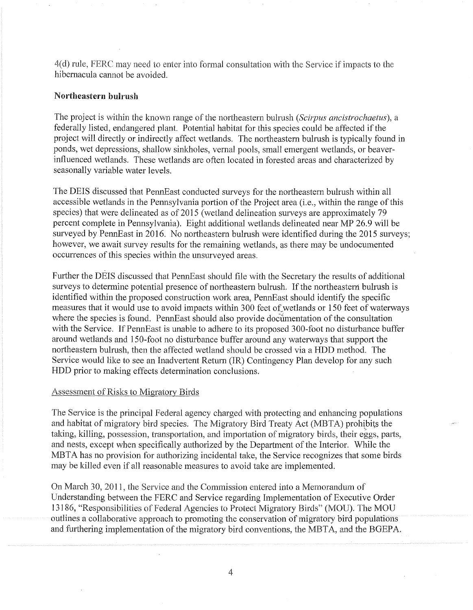4(d) rule, FERC may need to enter into formal consultation with the Service if impacts to the hibernacula cannot be avoided.

# **Northeastern bulrush**

The project is within the known range of the northeastern bulrush *(Scirpus ancistrochaetus),* a federally listed, endangered plant. Potential habitat for this species could be affected if the project will directly or indirectly affect wetlands. The northeastern bulrush is typically found in ponds, wet depressions, shallow sinkholes, vernal pools, small emergent wetlands, or beaverinfluenced wetlands. These wetlands are often located in forested areas and characterized by seasonally variable water levels.

The DEIS discussed that PennEast conducted surveys for the northeastern bulrush within all accessible wetlands in the Pennsylvania portion of the Project area (i.e., within the range of this species) that were delineated as of 2015 (wetland delineation surveys are approximately 79 percent complete in Pennsylvania). Eight additional wetlands delineated near MP 26.9 will be surveyed by PennEast in 2016. No northeastern bulrush were identified during the 2015 surveys; however, we await survey results for the remaining wetlands, as there may be undocumented occurrences of this species within the unsurveyed areas.

Further the DEIS discussed that PennEast should file with the Secretary the results of additional surveys to determine potential presence of northeastern bulrush. If the northeastern bulrush is identified within the proposed construction work area, PennEast should identify the specific measures that it would use to avoid impacts within 300 feet of wetlands or 150 feet of waterways where the species is found. PennEast should also provide documentation of the consultation with the Service. If PennEast is unable to adhere to its proposed 300-foot no disturbance buffer around wetlands and 150-foot no disturbance buffer around any waterways that support the northeastern bulrush, then the affected wetland should be crossed via a HDD method. The Service would like to see an Inadvertent Return (JR) Contingency Plan develop for any such HDD prior to making effects determination conclusions.

## Assessment of Risks to Migratory Birds

The Service is the principal Federal agency charged with protecting and enhancing populations and habitat of migratory bird species. The Migratory Bird Treaty Act (MBTA) prohtbits the taking, killing, possession, transportation, and importation of migratory birds, their eggs, parts, and nests, except when specifically authorized by the Department of the Interior. While the MBTA has no provision for authorizing incidental take, the Service recognizes that some birds may be killed even if all reasonable measures to avoid take are implemented.

On March 30, 2011, the Service and the Commission entered into a Memorandum of Understanding between the FERC and Service regarding Implementation of Executive Order 13186, "Responsibilities of Federal Agencies to Protect Migratory Birds" (MOU). The MOU outlines a collaborative approach to promoting the conservation of migratory bird populations and furthering implementation of the migratory bird conventions, the MBTA, and the BGEPA.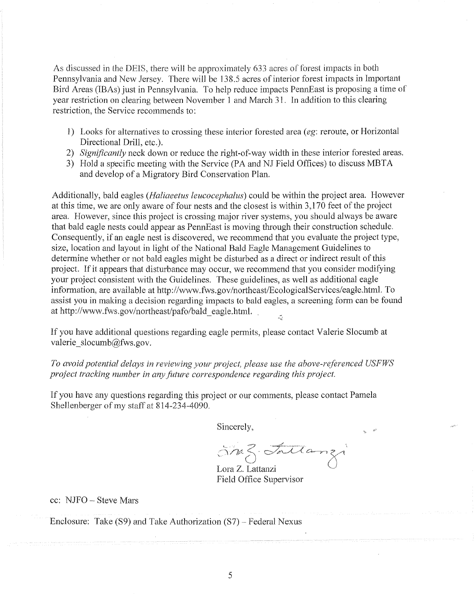As discussed in the DEIS, there will be approximately 633 acres of forest impacts in both Pennsylvania and New Jersey. There will be 138.5 acres of interior forest impacts in Important Bird Areas (IBAs) just in Pennsylvania. To help reduce impacts PennEast is proposing a time of year restriction on clearing between November 1 and March 31. In addition to this clearing restriction, the Service recommends to:

- 1) Looks for alternatives to crossing these interior forested area ( *eg:* reroute, or Horizontal Directional Drill, etc.).
- 2) *Significantly* neck down or reduce the right-of-way width in these interior forested areas.
- 3) Hold a specific meeting with the Service (PA and NJ Field Offices) to discuss MBTA and develop of a Migratory Bird Conservation Plan.

Additionally, bald eagles *(Haliaeetus leucocephalus)* could be within the project area. However at this time, we are only aware of four nests and the closest is within 3,170 feet of the project area. However, since this project is crossing major river systems, you should always be aware that bald eagle nests could appear as PennEast is moving through their construction schedule. Consequently, if an eagle nest is discovered, we recommend that you evaluate the project type, size, location and layout in light of the National Bald Eagle Management Guidelines to determine whether or not bald eagles might be disturbed as a direct or indirect result of this project. If it appears that disturbance may occur, we recommend that you consider modifying your project consistent with the Guidelines. These guidelines, as well as additional eagle information, are available at http://www.fws.gov/northeast/EcologicalServices/eagle.html. To assist you in making a decision regarding impacts to bald eagles, a screening form can be found at http://www.fws.gov/northeast/pafo/bald\_eagle.html.

If you have additional questions regarding eagle permits, please contact Valerie Slocumb at valerie  $slocumb@fws.gov$ .

*To avoid potential delays in reviewing your project, please use the above-referenced USFWS project tracking number in any future correspondence regarding this project.* 

If you have any questions regarding this project or our comments, please contact Pamela Shellenberger of my staff at 814-234-4090.

Sincerely,

5m3. Fattanzi Lora Z. Lattanzi

Field Office Supervisor

cc: NJFO- Steve Mars

Enclosure: Take (S9) and Take Authorization (S7) - Federal Nexus